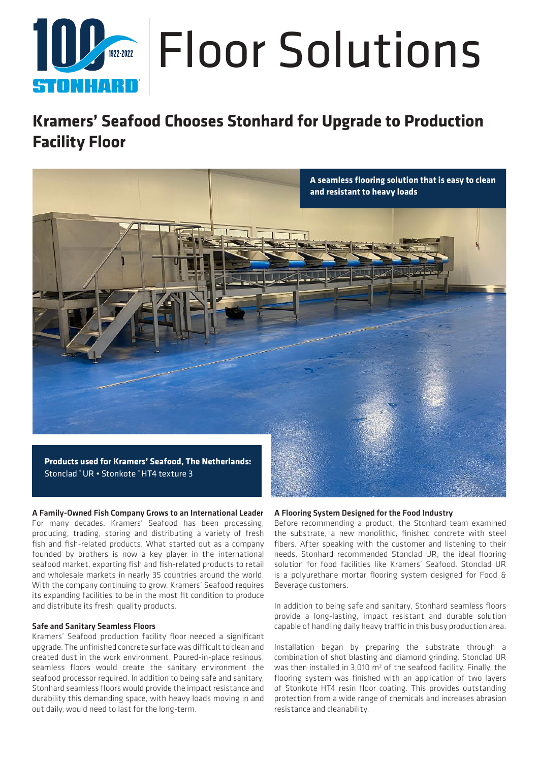# **Amanuel Floor Solutions** STONHAR

## **Kramers' Seafood Chooses Stonhard for Upgrade to Production Facility Floor**



A Family-Owned Fish Company Grows to an International Leader For many decades, Kramers' Seafood has been processing, producing, trading, storing and distributing a variety of fresh fish and fish-related products. What started out as a company founded by brothers is now a key player in the international seafood market, exporting fish and fish-related products to retail and wholesale markets in nearly 35 countries around the world. With the company continuing to grow, Kramers' Seafood requires its expanding facilities to be in the most fit condition to produce and distribute its fresh, quality products.

#### Safe and Sanitary Seamless Floors

Kramers' Seafood production facility floor needed a significant upgrade. The unfinished concrete surface was difficult to clean and created dust in the work environment. Poured-in-place resinous, seamless floors would create the sanitary environment the seafood processor required. In addition to being safe and sanitary, Stonhard seamless floors would provide the impact resistance and durability this demanding space, with heavy loads moving in and out daily, would need to last for the long-term.

#### A Flooring System Designed for the Food Industry

Before recommending a product, the Stonhard team examined the substrate, a new monolithic, finished concrete with steel fibers. After speaking with the customer and listening to their needs, Stonhard recommended Stonclad UR, the ideal flooring solution for food facilities like Kramers' Seafood. Stonclad UR is a polyurethane mortar flooring system designed for Food & Beverage customers.

In addition to being safe and sanitary, Stonhard seamless floors provide a long-lasting, impact resistant and durable solution capable of handling daily heavy traffic in this busy production area.

Installation began by preparing the substrate through a combination of shot blasting and diamond grinding. Stonclad UR was then installed in  $3,010 \text{ m}^2$  of the seafood facility. Finally, the flooring system was finished with an application of two layers of Stonkote HT4 resin floor coating. This provides outstanding protection from a wide range of chemicals and increases abrasion resistance and cleanability.